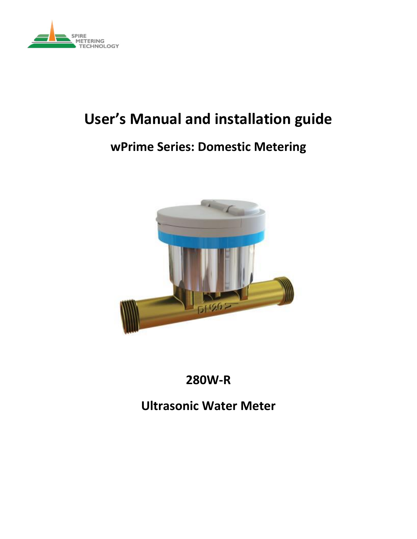

# **User's Manual and installation guide**

# **wPrime Series: Domestic Metering**



# **280W-R**

# **Ultrasonic Water Meter**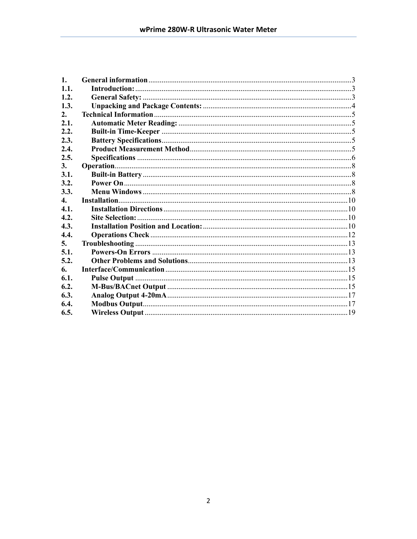| $\mathbf{1}$ . |  |
|----------------|--|
| 1.1.           |  |
| 1.2.           |  |
| 1.3.           |  |
| 2.             |  |
| 2.1.           |  |
| 2.2.           |  |
| 2.3.           |  |
| 2.4.           |  |
| 2.5.           |  |
| 3.             |  |
| 3.1.           |  |
| 3.2.           |  |
| 3.3.           |  |
| $\mathbf{4}$ . |  |
|                |  |
| 4.1.           |  |
| 4.2.           |  |
| 4.3.           |  |
| 4.4.           |  |
| 5.             |  |
| 5.1.           |  |
| 5.2.           |  |
| 6.             |  |
| 6.1.           |  |
| 6.2.           |  |
| 6.3.           |  |
| 6.4.           |  |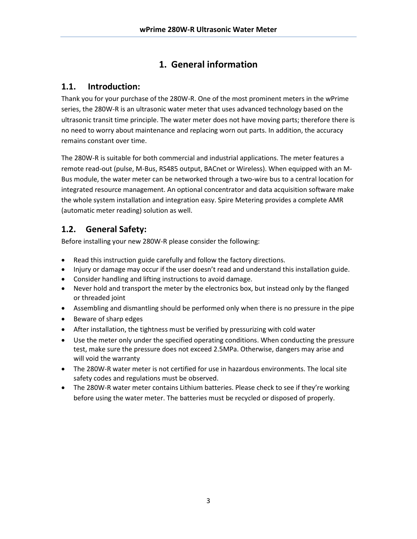# **1. General information**

## <span id="page-2-1"></span><span id="page-2-0"></span>**1.1. Introduction:**

Thank you for your purchase of the 280W-R. One of the most prominent meters in the wPrime series, the 280W-R is an ultrasonic water meter that uses advanced technology based on the ultrasonic transit time principle. The water meter does not have moving parts; therefore there is no need to worry about maintenance and replacing worn out parts. In addition, the accuracy remains constant over time.

The 280W-R is suitable for both commercial and industrial applications. The meter features a remote read-out (pulse, M-Bus, RS485 output, BACnet or Wireless). When equipped with an M-Bus module, the water meter can be networked through a two-wire bus to a central location for integrated resource management. An optional concentrator and data acquisition software make the whole system installation and integration easy. Spire Metering provides a complete AMR (automatic meter reading) solution as well.

## <span id="page-2-2"></span>**1.2. General Safety:**

Before installing your new 280W-R please consider the following:

- Read this instruction guide carefully and follow the factory directions.
- Injury or damage may occur if the user doesn't read and understand this installation guide.
- Consider handling and lifting instructions to avoid damage.
- Never hold and transport the meter by the electronics box, but instead only by the flanged or threaded joint
- Assembling and dismantling should be performed only when there is no pressure in the pipe
- Beware of sharp edges
- After installation, the tightness must be verified by pressurizing with cold water
- Use the meter only under the specified operating conditions. When conducting the pressure test, make sure the pressure does not exceed 2.5MPa. Otherwise, dangers may arise and will void the warranty
- The 280W-R water meter is not certified for use in hazardous environments. The local site safety codes and regulations must be observed.
- The 280W-R water meter contains Lithium batteries. Please check to see if they're working before using the water meter. The batteries must be recycled or disposed of properly.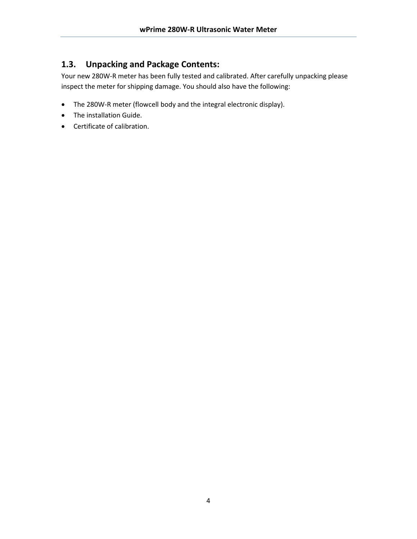## <span id="page-3-0"></span>**1.3. Unpacking and Package Contents:**

Your new 280W-R meter has been fully tested and calibrated. After carefully unpacking please inspect the meter for shipping damage. You should also have the following:

- The 280W-R meter (flowcell body and the integral electronic display).
- The installation Guide.
- Certificate of calibration.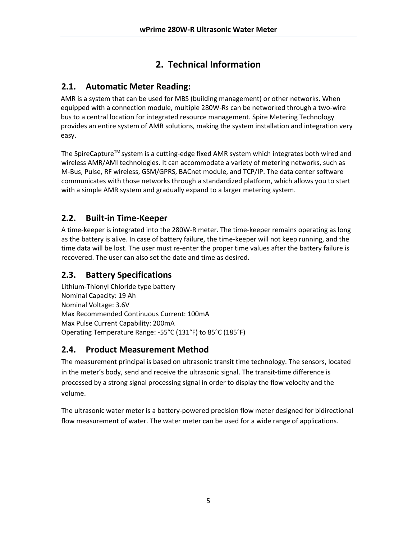# **2. Technical Information**

## <span id="page-4-1"></span><span id="page-4-0"></span>**2.1. Automatic Meter Reading:**

AMR is a system that can be used for MBS (building management) or other networks. When equipped with a connection module, multiple 280W-Rs can be networked through a two-wire bus to a central location for integrated resource management. Spire Metering Technology provides an entire system of AMR solutions, making the system installation and integration very easy.

The SpireCapture™ system is a cutting-edge fixed AMR system which integrates both wired and wireless AMR/AMI technologies. It can accommodate a variety of metering networks, such as M-Bus, Pulse, RF wireless, GSM/GPRS, BACnet module, and TCP/IP. The data center software communicates with those networks through a standardized platform, which allows you to start with a simple AMR system and gradually expand to a larger metering system.

## <span id="page-4-2"></span>**2.2. Built-in Time-Keeper**

A time-keeper is integrated into the 280W-R meter. The time-keeper remains operating as long as the battery is alive. In case of battery failure, the time-keeper will not keep running, and the time data will be lost. The user must re-enter the proper time values after the battery failure is recovered. The user can also set the date and time as desired.

## <span id="page-4-3"></span>**2.3. Battery Specifications**

Lithium-Thionyl Chloride type battery Nominal Capacity: 19 Ah Nominal Voltage: 3.6V Max Recommended Continuous Current: 100mA Max Pulse Current Capability: 200mA Operating Temperature Range: -55°C (131°F) to 85°C (185°F)

## <span id="page-4-4"></span>**2.4. Product Measurement Method**

The measurement principal is based on ultrasonic transit time technology. The sensors, located in the meter's body, send and receive the ultrasonic signal. The transit-time difference is processed by a strong signal processing signal in order to display the flow velocity and the volume.

The ultrasonic water meter is a battery-powered precision flow meter designed for bidirectional flow measurement of water. The water meter can be used for a wide range of applications.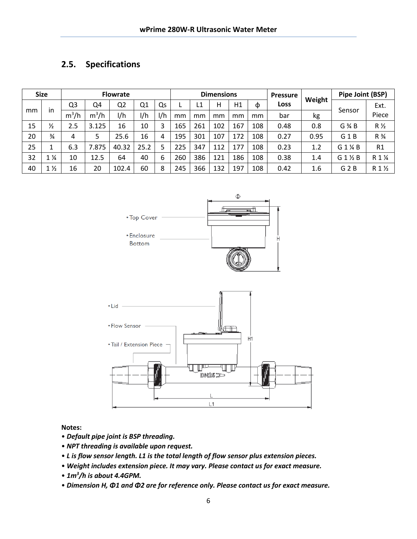#### <span id="page-5-0"></span>**2.5. Specifications**

| <b>Size</b> |                | <b>Flowrate</b> |         |                | <b>Dimensions</b> |     |     |     |     | <b>Pressure</b> | Weight | Pipe Joint (BSP) |      |                   |                    |
|-------------|----------------|-----------------|---------|----------------|-------------------|-----|-----|-----|-----|-----------------|--------|------------------|------|-------------------|--------------------|
|             |                | Q3              | Q4      | Q <sub>2</sub> | Q1                | Qs  |     | L1  | Н   | Η1              | Φ      | Loss             |      |                   | Ext.               |
| mm          | in             | $m^3/h$         | $m^3/h$ | l/h            | 1/h               | 1/h | mm  | mm  | mm  | mm              | mm     | bar              | kg   | Sensor            | Piece              |
| 15          | $\frac{1}{2}$  | 2.5             | 3.125   | 16             | 10                | 3   | 165 | 261 | 102 | 167             | 108    | 0.48             | 0.8  | $G \mathcal{H} B$ | $R\frac{1}{2}$     |
| 20          | $\frac{3}{4}$  | 4               | 5.      | 25.6           | 16                | 4   | 195 | 301 | 107 | 172             | 108    | 0.27             | 0.95 | G <sub>1</sub> B  | $R\frac{3}{4}$     |
| 25          |                | 6.3             | 7.875   | 40.32          | 25.2              | 5   | 225 | 347 | 112 | 177             | 108    | 0.23             | 1.2  | G 1 % B           | R1                 |
| 32          | $\frac{1}{4}$  | 10              | 12.5    | 64             | 40                | 6   | 260 | 386 | 121 | 186             | 108    | 0.38             | 1.4  | $G_1 \nmid G_2$ B | R 1 %              |
| 40          | $1\frac{1}{2}$ | 16              | 20      | 102.4          | 60                | 8   | 245 | 366 | 132 | 197             | 108    | 0.42             | 1.6  | $G$ 2 $B$         | $R1$ $\frac{1}{2}$ |





#### **Notes:**

- *Default pipe joint is BSP threading.*
- *NPT threading is available upon request.*
- *L is flow sensor length. L1 is the total length of flow sensor plus extension pieces.*
- *Weight includes extension piece. It may vary. Please contact us for exact measure.*
- *1m<sup>3</sup> /h is about 4.4GPM.*
- *Dimension H, Φ1 and Φ2 are for reference only. Please contact us for exact measure.*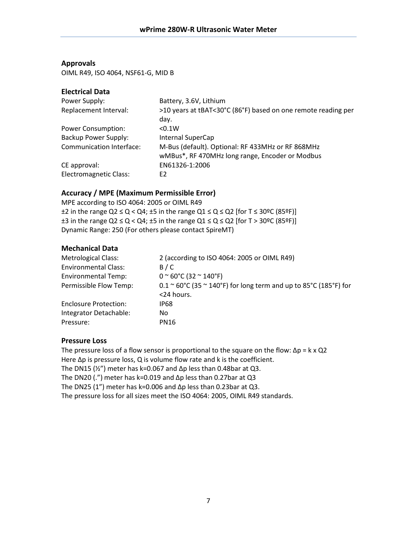#### **Approvals**

OIML R49, ISO 4064, NSF61-G, MID B

#### **Electrical Data**

| Power Supply:                   | Battery, 3.6V, Lithium                                        |  |  |  |
|---------------------------------|---------------------------------------------------------------|--|--|--|
| Replacement Interval:           | >10 years at tBAT<30°C (86°F) based on one remote reading per |  |  |  |
|                                 | day.                                                          |  |  |  |
| <b>Power Consumption:</b>       | < 0.1W                                                        |  |  |  |
| <b>Backup Power Supply:</b>     | Internal SuperCap                                             |  |  |  |
| <b>Communication Interface:</b> | M-Bus (default). Optional: RF 433MHz or RF 868MHz             |  |  |  |
|                                 | wMBus*, RF 470MHz long range, Encoder or Modbus               |  |  |  |
| CE approval:                    | EN61326-1:2006                                                |  |  |  |
| <b>Electromagnetic Class:</b>   | E2                                                            |  |  |  |

#### **Accuracy / MPE (Maximum Permissible Error)**

MPE according to ISO 4064: 2005 or OIML R49  $\pm$ 2 in the range Q2  $\le$  Q < Q4;  $\pm$ 5 in the range Q1  $\le$  Q  $\le$  Q2 [for T  $\le$  30°C (85°F)]  $\pm 3$  in the range Q2  $\leq$  Q  $<$  Q4;  $\pm 5$  in the range Q1  $\leq$  Q  $\leq$  Q2 [for T > 30°C (85°F)] Dynamic Range: 250 (For others please contact SpireMT)

#### **Mechanical Data**

| <b>Metrological Class:</b>   | 2 (according to ISO 4064: 2005 or OIML R49)                                              |
|------------------------------|------------------------------------------------------------------------------------------|
| <b>Environmental Class:</b>  | B/C                                                                                      |
| <b>Environmental Temp:</b>   | $0~^{\circ}$ 60°C (32 $\sim$ 140°F)                                                      |
| Permissible Flow Temp:       | $0.1 \approx 60^{\circ}$ C (35 $\approx$ 140°F) for long term and up to 85°C (185°F) for |
|                              | <24 hours.                                                                               |
| <b>Enclosure Protection:</b> | <b>IP68</b>                                                                              |
| Integrator Detachable:       | No.                                                                                      |
| Pressure:                    | <b>PN16</b>                                                                              |
|                              |                                                                                          |

#### **Pressure Loss**

The pressure loss of a flow sensor is proportional to the square on the flow:  $\Delta p = k \times Q2$ Here Δp is pressure loss, Q is volume flow rate and k is the coefficient. The DN15 ( $\frac{1}{2}$ ") meter has k=0.067 and  $\Delta p$  less than 0.48bar at Q3. The DN20 (.") meter has k=0.019 and  $\Delta p$  less than 0.27bar at Q3 The DN25 (1") meter has k=0.006 and  $\Delta p$  less than 0.23bar at Q3. The pressure loss for all sizes meet the ISO 4064: 2005, OIML R49 standards.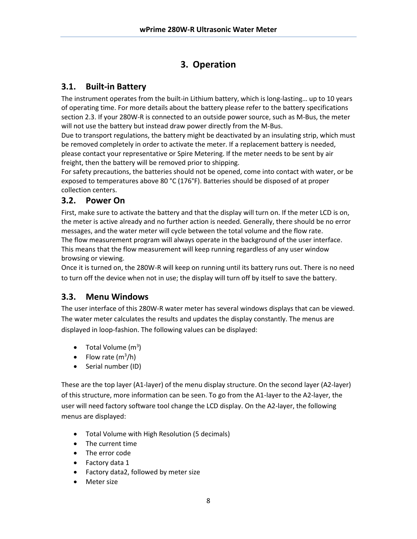# **3. Operation**

## <span id="page-7-1"></span><span id="page-7-0"></span>**3.1. Built-in Battery**

The instrument operates from the built-in Lithium battery, which is long-lasting… up to 10 years of operating time. For more details about the battery please refer to the battery specifications section 2.3. If your 280W-R is connected to an outside power source, such as M-Bus, the meter will not use the battery but instead draw power directly from the M-Bus.

Due to transport regulations, the battery might be deactivated by an insulating strip, which must be removed completely in order to activate the meter. If a replacement battery is needed, please contact your representative or Spire Metering. If the meter needs to be sent by air freight, then the battery will be removed prior to shipping.

For safety precautions, the batteries should not be opened, come into contact with water, or be exposed to temperatures above 80 °C (176°F). Batteries should be disposed of at proper collection centers.

#### <span id="page-7-2"></span>**3.2. Power On**

First, make sure to activate the battery and that the display will turn on. If the meter LCD is on, the meter is active already and no further action is needed. Generally, there should be no error messages, and the water meter will cycle between the total volume and the flow rate. The flow measurement program will always operate in the background of the user interface. This means that the flow measurement will keep running regardless of any user window browsing or viewing.

Once it is turned on, the 280W-R will keep on running until its battery runs out. There is no need to turn off the device when not in use; the display will turn off by itself to save the battery.

## <span id="page-7-3"></span>**3.3. Menu Windows**

The user interface of this 280W-R water meter has several windows displays that can be viewed. The water meter calculates the results and updates the display constantly. The menus are displayed in loop-fashion. The following values can be displayed:

- Total Volume  $(m^3)$
- Flow rate  $(m^3/h)$
- Serial number (ID)

These are the top layer (A1-layer) of the menu display structure. On the second layer (A2-layer) of this structure, more information can be seen. To go from the A1-layer to the A2-layer, the user will need factory software tool change the LCD display. On the A2-layer, the following menus are displayed:

- Total Volume with High Resolution (5 decimals)
- The current time
- The error code
- Factory data 1
- Factory data2, followed by meter size
- Meter size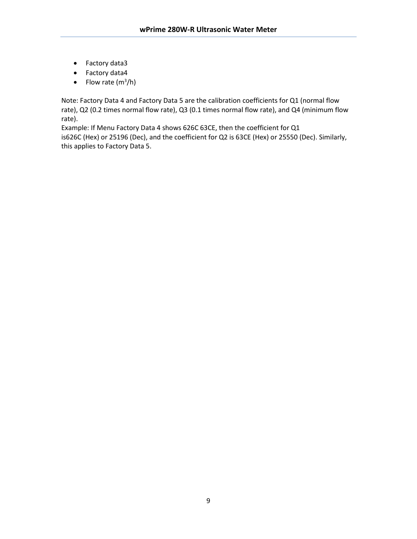- Factory data3
- Factory data4
- Flow rate  $(m^3/h)$

Note: Factory Data 4 and Factory Data 5 are the calibration coefficients for Q1 (normal flow rate), Q2 (0.2 times normal flow rate), Q3 (0.1 times normal flow rate), and Q4 (minimum flow rate).

Example: If Menu Factory Data 4 shows 626C 63CE, then the coefficient for Q1 is626C (Hex) or 25196 (Dec), and the coefficient for Q2 is 63CE (Hex) or 25550 (Dec). Similarly, this applies to Factory Data 5.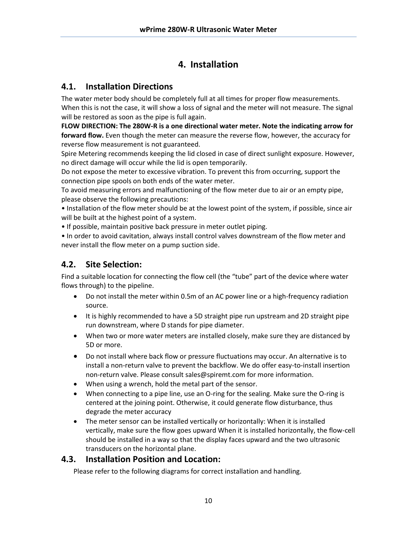# **4. Installation**

## <span id="page-9-1"></span><span id="page-9-0"></span>**4.1. Installation Directions**

The water meter body should be completely full at all times for proper flow measurements. When this is not the case, it will show a loss of signal and the meter will not measure. The signal will be restored as soon as the pipe is full again.

**FLOW DIRECTION: The 280W-R is a one directional water meter. Note the indicating arrow for forward flow.** Even though the meter can measure the reverse flow, however, the accuracy for reverse flow measurement is not guaranteed.

Spire Metering recommends keeping the lid closed in case of direct sunlight exposure. However, no direct damage will occur while the lid is open temporarily.

Do not expose the meter to excessive vibration. To prevent this from occurring, support the connection pipe spools on both ends of the water meter.

To avoid measuring errors and malfunctioning of the flow meter due to air or an empty pipe, please observe the following precautions:

• Installation of the flow meter should be at the lowest point of the system, if possible, since air will be built at the highest point of a system.

• If possible, maintain positive back pressure in meter outlet piping.

• In order to avoid cavitation, always install control valves downstream of the flow meter and never install the flow meter on a pump suction side.

## <span id="page-9-2"></span>**4.2. Site Selection:**

Find a suitable location for connecting the flow cell (the "tube" part of the device where water flows through) to the pipeline.

- Do not install the meter within 0.5m of an AC power line or a high-frequency radiation source.
- It is highly recommended to have a 5D straight pipe run upstream and 2D straight pipe run downstream, where D stands for pipe diameter.
- When two or more water meters are installed closely, make sure they are distanced by 5D or more.
- Do not install where back flow or pressure fluctuations may occur. An alternative is to install a non-return valve to prevent the backflow. We do offer easy-to-install insertion non-return valve. Please consult sales@spiremt.com for more information.
- When using a wrench, hold the metal part of the sensor.
- When connecting to a pipe line, use an O-ring for the sealing. Make sure the O-ring is centered at the joining point. Otherwise, it could generate flow disturbance, thus degrade the meter accuracy
- The meter sensor can be installed vertically or horizontally: When it is installed vertically, make sure the flow goes upward When it is installed horizontally, the flow-cell should be installed in a way so that the display faces upward and the two ultrasonic transducers on the horizontal plane.

#### <span id="page-9-3"></span>**4.3. Installation Position and Location:**

Please refer to the following diagrams for correct installation and handling.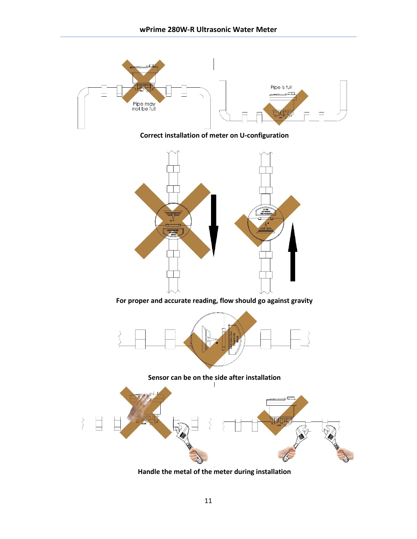

**Handle the metal of the meter during installation**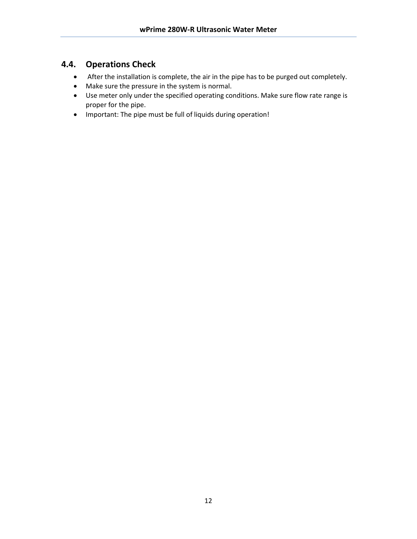### <span id="page-11-0"></span>**4.4. Operations Check**

- After the installation is complete, the air in the pipe has to be purged out completely.
- Make sure the pressure in the system is normal.
- Use meter only under the specified operating conditions. Make sure flow rate range is proper for the pipe.
- Important: The pipe must be full of liquids during operation!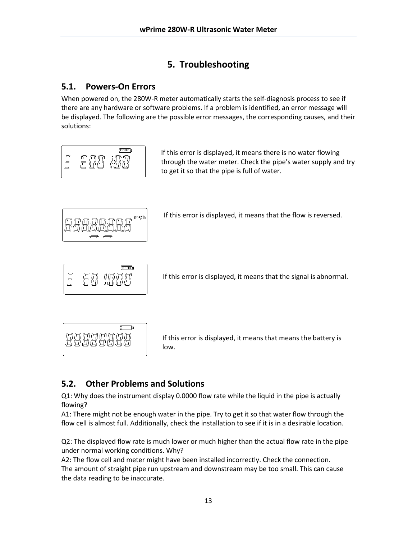# **5. Troubleshooting**

## <span id="page-12-1"></span><span id="page-12-0"></span>**5.1. Powers-On Errors**

When powered on, the 280W-R meter automatically starts the self-diagnosis process to see if there are any hardware or software problems. If a problem is identified, an error message will be displayed. The following are the possible error messages, the corresponding causes, and their solutions:



## <span id="page-12-2"></span>**5.2. Other Problems and Solutions**

Q1: Why does the instrument display 0.0000 flow rate while the liquid in the pipe is actually flowing?

A1: There might not be enough water in the pipe. Try to get it so that water flow through the flow cell is almost full. Additionally, check the installation to see if it is in a desirable location.

Q2: The displayed flow rate is much lower or much higher than the actual flow rate in the pipe under normal working conditions. Why?

A2: The flow cell and meter might have been installed incorrectly. Check the connection. The amount of straight pipe run upstream and downstream may be too small. This can cause the data reading to be inaccurate.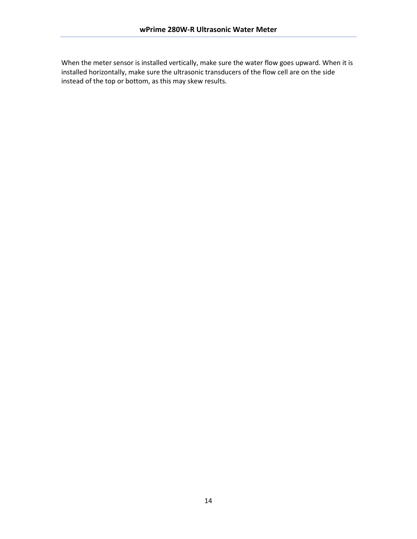When the meter sensor is installed vertically, make sure the water flow goes upward. When it is installed horizontally, make sure the ultrasonic transducers of the flow cell are on the side instead of the top or bottom, as this may skew results.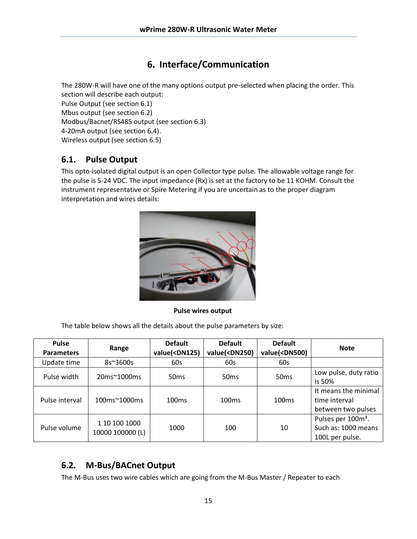## **6. Interface/Communication**

<span id="page-14-0"></span>The 280W-R will have one of the many options output pre-selected when placing the order. This section will describe each output:

Pulse Output (see section 6.1) Mbus output (see section 6.2) Modbus/Bacnet/RS485 output (see section 6.3) 4-20mA output (see section 6.4). Wireless output (see section 6.5)

#### <span id="page-14-1"></span>**6.1. Pulse Output**

This opto-isolated digital output is an open Collector type pulse. The allowable voltage range for the pulse is 5-24 VDC. The input impedance (Rx) is set at the factory to be 11 KOHM. Consult the instrument representative or Spire Metering if you are uncertain as to the proper diagram interpretation and wires details:



**Pulse wires output**

The table below shows all the details about the pulse parameters by size:

| <b>Pulse</b><br><b>Parameters</b> | Range                                  | <b>Default</b><br>value( <dn125)< th=""><th><b>Default</b><br/>value(<dn250)< th=""><th><b>Default</b><br/>value(<dn500)< th=""><th><b>Note</b></th></dn500)<></th></dn250)<></th></dn125)<> | <b>Default</b><br>value( <dn250)< th=""><th><b>Default</b><br/>value(<dn500)< th=""><th><b>Note</b></th></dn500)<></th></dn250)<> | <b>Default</b><br>value( <dn500)< th=""><th><b>Note</b></th></dn500)<> | <b>Note</b>                                                              |
|-----------------------------------|----------------------------------------|----------------------------------------------------------------------------------------------------------------------------------------------------------------------------------------------|-----------------------------------------------------------------------------------------------------------------------------------|------------------------------------------------------------------------|--------------------------------------------------------------------------|
| Update time                       | 8s~3600s                               | 60s                                                                                                                                                                                          | 60s                                                                                                                               | 60s                                                                    |                                                                          |
| Pulse width                       | 20ms~1000ms                            | 50 <sub>ms</sub>                                                                                                                                                                             | 50 <sub>ms</sub>                                                                                                                  | 50 <sub>ms</sub>                                                       | Low pulse, duty ratio<br>is 50%                                          |
| Pulse interval                    | $100 \text{ms} \approx 1000 \text{ms}$ | 100ms                                                                                                                                                                                        | 100ms                                                                                                                             | 100ms                                                                  | It means the minimal<br>time interval<br>between two pulses              |
| Pulse volume                      | 1 10 100 1000<br>10000 100000 (L)      | 1000                                                                                                                                                                                         | 100                                                                                                                               | 10                                                                     | Pulses per 100m <sup>3</sup> .<br>Such as: 1000 means<br>100L per pulse. |

## <span id="page-14-2"></span>**6.2. M-Bus/BACnet Output**

The M-Bus uses two wire cables which are going from the M-Bus Master / Repeater to each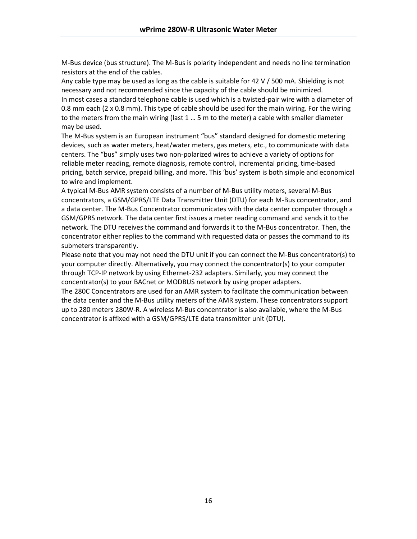M-Bus device (bus structure). The M-Bus is polarity independent and needs no line termination resistors at the end of the cables.

Any cable type may be used as long as the cable is suitable for 42 V / 500 mA. Shielding is not necessary and not recommended since the capacity of the cable should be minimized. In most cases a standard telephone cable is used which is a twisted-pair wire with a diameter of 0.8 mm each ( $2 \times 0.8$  mm). This type of cable should be used for the main wiring. For the wiring to the meters from the main wiring (last 1 … 5 m to the meter) a cable with smaller diameter may be used.

The M-Bus system is an European instrument "bus" standard designed for domestic metering devices, such as water meters, heat/water meters, gas meters, etc., to communicate with data centers. The "bus" simply uses two non-polarized wires to achieve a variety of options for reliable meter reading, remote diagnosis, remote control, incremental pricing, time-based pricing, batch service, prepaid billing, and more. This 'bus' system is both simple and economical to wire and implement.

A typical M-Bus AMR system consists of a number of M-Bus utility meters, several M-Bus concentrators, a GSM/GPRS/LTE Data Transmitter Unit (DTU) for each M-Bus concentrator, and a data center. The M-Bus Concentrator communicates with the data center computer through a GSM/GPRS network. The data center first issues a meter reading command and sends it to the network. The DTU receives the command and forwards it to the M-Bus concentrator. Then, the concentrator either replies to the command with requested data or passes the command to its submeters transparently.

Please note that you may not need the DTU unit if you can connect the M-Bus concentrator(s) to your computer directly. Alternatively, you may connect the concentrator(s) to your computer through TCP-IP network by using Ethernet-232 adapters. Similarly, you may connect the concentrator(s) to your BACnet or MODBUS network by using proper adapters.

The 280C Concentrators are used for an AMR system to facilitate the communication between the data center and the M-Bus utility meters of the AMR system. These concentrators support up to 280 meters 280W-R. A wireless M-Bus concentrator is also available, where the M-Bus concentrator is affixed with a GSM/GPRS/LTE data transmitter unit (DTU).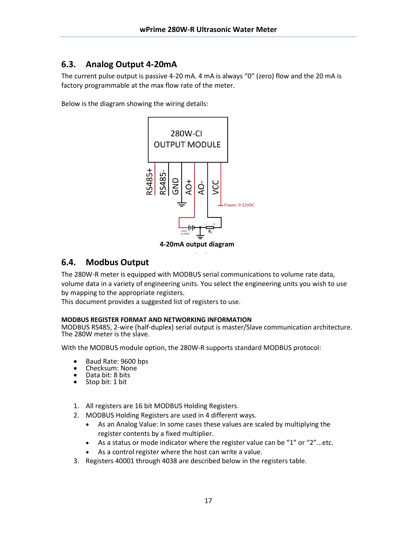## <span id="page-16-0"></span>**6.3. Analog Output 4-20mA**

The current pulse output is passive 4-20 mA. 4 mA is always "0" (zero) flow and the 20 mA is factory programmable at the max flow rate of the meter.

Below is the diagram showing the wiring details:



**4-20mA output diagram** output

#### <span id="page-16-1"></span>**6.4. Modbus Output**

The 280W-R meter is equipped with MODBUS serial communications to volume rate data, volume data in a variety of engineering units. You select the engineering units you wish to use by mapping to the appropriate registers.

This document provides a suggested list of registers to use.

#### **MODBUS REGISTER FORMAT AND NETWORKING INFORMATION**

MODBUS RS485, 2-wire (half-duplex) serial output is master/Slave communication architecture. The 280W meter is the slave.

With the MODBUS module option, the 280W-R supports standard MODBUS protocol:

- Baud Rate: 9600 bps<br>• Checksum: None
- Checksum: None<br>• Data bit: 8 bits
- Data bit: 8 bits
- Stop bit: 1 bit
- 1. All registers are 16 bit MODBUS Holding Registers.
- 2. MODBUS Holding Registers are used in 4 different ways.
	- As an Analog Value: In some cases these values are scaled by multiplying the register contents by a fixed multiplier.
	- As a status or mode indicator where the register value can be "1" or "2"...etc.
	- As a control register where the host can write a value.
- 3. Registers 40001 through 4038 are described below in the registers table.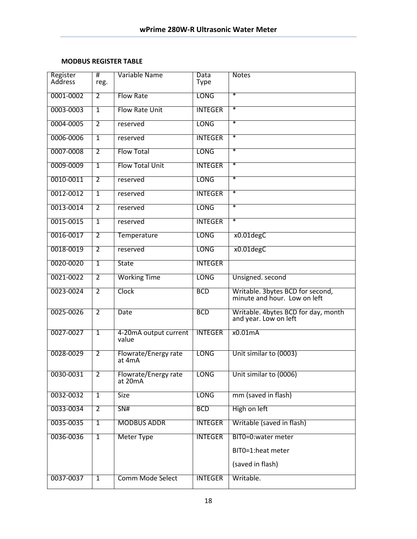#### **MODBUS REGISTER TABLE**

| Register<br>Address | #<br>reg.      | Variable Name                   | <b>Data</b><br>Type | <b>Notes</b>                                                     |
|---------------------|----------------|---------------------------------|---------------------|------------------------------------------------------------------|
| 0001-0002           | $\overline{2}$ | <b>Flow Rate</b>                | <b>LONG</b>         | $\ast$                                                           |
| 0003-0003           | $\overline{1}$ | <b>Flow Rate Unit</b>           | <b>INTEGER</b>      | $\ast$                                                           |
| 0004-0005           | $\overline{2}$ | reserved                        | <b>LONG</b>         | $\ast$                                                           |
| 0006-0006           | $\overline{1}$ | reserved                        | <b>INTEGER</b>      | $\ast$                                                           |
| 0007-0008           | $\overline{2}$ | <b>Flow Total</b>               | <b>LONG</b>         | $\ast$                                                           |
| 0009-0009           | $\mathbf{1}$   | <b>Flow Total Unit</b>          | <b>INTEGER</b>      | $\ast$                                                           |
| 0010-0011           | $\overline{2}$ | reserved                        | <b>LONG</b>         | $\ast$                                                           |
| 0012-0012           | $\overline{1}$ | reserved                        | <b>INTEGER</b>      | $\ast$                                                           |
| 0013-0014           | $\overline{2}$ | reserved                        | <b>LONG</b>         | $\ast$                                                           |
| 0015-0015           | $\overline{1}$ | reserved                        | <b>INTEGER</b>      | $\ast$                                                           |
| 0016-0017           | $\overline{2}$ | Temperature                     | <b>LONG</b>         | x0.01degC                                                        |
| 0018-0019           | $\overline{2}$ | reserved                        | <b>LONG</b>         | x0.01degC                                                        |
| 0020-0020           | $\overline{1}$ | <b>State</b>                    | <b>INTEGER</b>      |                                                                  |
| 0021-0022           | $\overline{2}$ | <b>Working Time</b>             | <b>LONG</b>         | Unsigned. second                                                 |
| 0023-0024           | $\overline{2}$ | Clock                           | <b>BCD</b>          | Writable. 3bytes BCD for second,<br>minute and hour. Low on left |
| 0025-0026           | $\overline{2}$ | <b>Date</b>                     | <b>BCD</b>          | Writable. 4bytes BCD for day, month<br>and year. Low on left     |
| 0027-0027           | $\overline{1}$ | 4-20mA output current<br>value  | <b>INTEGER</b>      | x0.01mA                                                          |
| 0028-0029           | $\overline{2}$ | Flowrate/Energy rate<br>at 4mA  | <b>LONG</b>         | Unit similar to (0003)                                           |
| 0030-0031           | 2              | Flowrate/Energy rate<br>at 20mA | <b>LONG</b>         | Unit similar to (0006)                                           |
| 0032-0032           | $\mathbf{1}$   | <b>Size</b>                     | <b>LONG</b>         | mm (saved in flash)                                              |
| 0033-0034           | $\overline{2}$ | SN#                             | <b>BCD</b>          | High on left                                                     |
| 0035-0035           | $\overline{1}$ | <b>MODBUS ADDR</b>              | <b>INTEGER</b>      | Writable (saved in flash)                                        |
| 0036-0036           | $\overline{1}$ | <b>Meter Type</b>               | <b>INTEGER</b>      | BIT0=0:water meter                                               |
|                     |                |                                 |                     | BIT0=1:heat meter                                                |
|                     |                |                                 |                     | (saved in flash)                                                 |
| 0037-0037           | $\mathbf{1}$   | <b>Comm Mode Select</b>         | <b>INTEGER</b>      | Writable.                                                        |